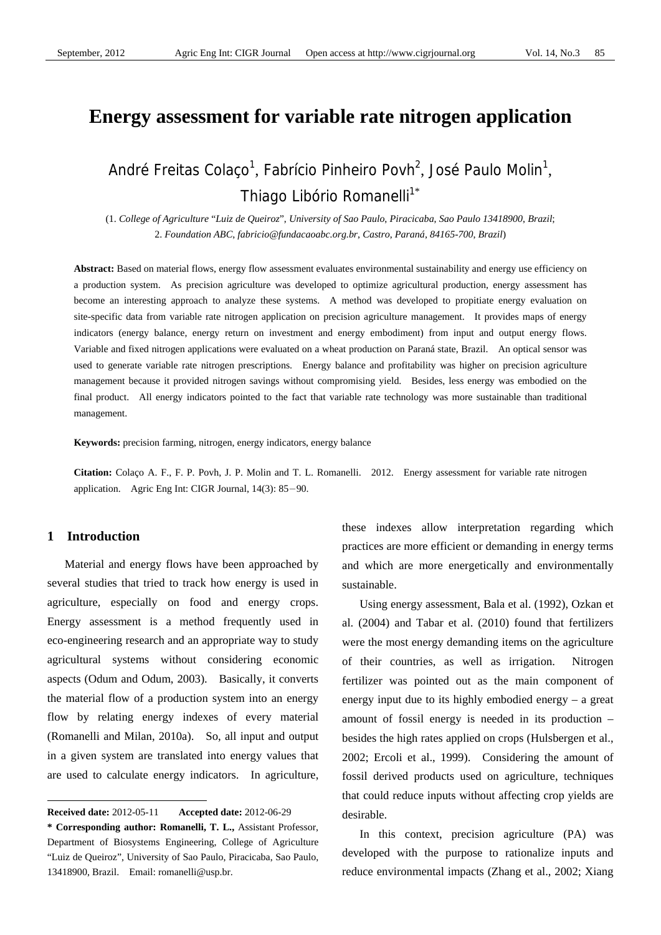# **Energy assessment for variable rate nitrogen application**

André Freitas Colaço<sup>1</sup>, Fabrício Pinheiro Povh<sup>2</sup>, José Paulo Molin<sup>1</sup>, Thiago Libório Romanelli<sup>1\*</sup>

(1. *College of Agriculture* "*Luiz de Queiroz*", *University of Sao Paulo*, *Piracicaba*, *Sao Paulo 13418900*, *Brazil*; 2. *Foundation ABC*, *fabricio@fundacaoabc.org.br*, *Castro*, *Paraná*, *84165-700*, *Brazil*)

Abstract: Based on material flows, energy flow assessment evaluates environmental sustainability and energy use efficiency on a production system. As precision agriculture was developed to optimize agricultural production, energy assessment has become an interesting approach to analyze these systems. A method was developed to propitiate energy evaluation on site-specific data from variable rate nitrogen application on precision agriculture management. It provides maps of energy indicators (energy balance, energy return on investment and energy embodiment) from input and output energy flows. Variable and fixed nitrogen applications were evaluated on a wheat production on Paraná state, Brazil. An optical sensor was used to generate variable rate nitrogen prescriptions. Energy balance and profitability was higher on precision agriculture management because it provided nitrogen savings without compromising yield. Besides, less energy was embodied on the final product. All energy indicators pointed to the fact that variable rate technology was more sustainable than traditional management.

**Keywords:** precision farming, nitrogen, energy indicators, energy balance

**Citation:** Colaço A. F., F. P. Povh, J. P. Molin and T. L. Romanelli. 2012. Energy assessment for variable rate nitrogen application. Agric Eng Int: CIGR Journal, 14(3): 85-90.

#### **1 Introduction**

 $\overline{a}$ 

Material and energy flows have been approached by several studies that tried to track how energy is used in agriculture, especially on food and energy crops. Energy assessment is a method frequently used in eco-engineering research and an appropriate way to study agricultural systems without considering economic aspects (Odum and Odum, 2003). Basically, it converts the material flow of a production system into an energy flow by relating energy indexes of every material (Romanelli and Milan, 2010a). So, all input and output in a given system are translated into energy values that are used to calculate energy indicators. In agriculture, these indexes allow interpretation regarding which practices are more efficient or demanding in energy terms and which are more energetically and environmentally sustainable.

Using energy assessment, Bala et al. (1992), Ozkan et al. (2004) and Tabar et al. (2010) found that fertilizers were the most energy demanding items on the agriculture of their countries, as well as irrigation. Nitrogen fertilizer was pointed out as the main component of energy input due to its highly embodied energy – a great amount of fossil energy is needed in its production – besides the high rates applied on crops (Hulsbergen et al., 2002; Ercoli et al., 1999). Considering the amount of fossil derived products used on agriculture, techniques that could reduce inputs without affecting crop yields are desirable.

In this context, precision agriculture (PA) was developed with the purpose to rationalize inputs and reduce environmental impacts (Zhang et al., 2002; Xiang

**Received date:** 2012-05-11 **Accepted date:** 2012-06-29

**<sup>\*</sup> Corresponding author: Romanelli, T. L.,** Assistant Professor, Department of Biosystems Engineering, College of Agriculture "Luiz de Queiroz", University of Sao Paulo, Piracicaba, Sao Paulo, 13418900, Brazil. Email: romanelli@usp.br.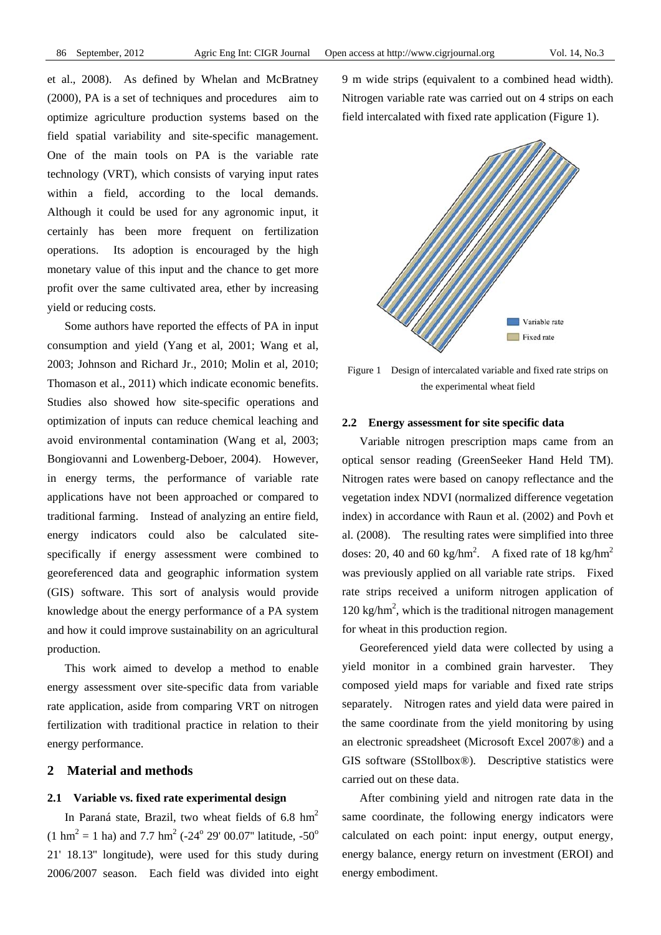et al., 2008). As defined by Whelan and McBratney (2000), PA is a set of techniques and procedures aim to optimize agriculture production systems based on the field spatial variability and site-specific management. One of the main tools on PA is the variable rate technology (VRT), which consists of varying input rates within a field, according to the local demands. Although it could be used for any agronomic input, it certainly has been more frequent on fertilization operations. Its adoption is encouraged by the high monetary value of this input and the chance to get more profit over the same cultivated area, ether by increasing yield or reducing costs.

Some authors have reported the effects of PA in input consumption and yield (Yang et al, 2001; Wang et al, 2003; Johnson and Richard Jr., 2010; Molin et al, 2010; Thomason et al., 2011) which indicate economic benefits. Studies also showed how site-specific operations and optimization of inputs can reduce chemical leaching and avoid environmental contamination (Wang et al, 2003; Bongiovanni and Lowenberg-Deboer, 2004). However, in energy terms, the performance of variable rate applications have not been approached or compared to traditional farming. Instead of analyzing an entire field, energy indicators could also be calculated sitespecifically if energy assessment were combined to georeferenced data and geographic information system (GIS) software. This sort of analysis would provide knowledge about the energy performance of a PA system and how it could improve sustainability on an agricultural production.

This work aimed to develop a method to enable energy assessment over site-specific data from variable rate application, aside from comparing VRT on nitrogen fertilization with traditional practice in relation to their energy performance.

## **2 Material and methods**

#### **2.1 Variable vs. fixed rate experimental design**

In Paraná state, Brazil, two wheat fields of 6.8  $\text{hm}^2$  $(1 \text{ hm}^2 = 1 \text{ ha})$  and 7.7 hm<sup>2</sup> (-24<sup>o</sup> 29' 00.07" latitude, -50<sup>o</sup> 21' 18.13'' longitude), were used for this study during 2006/2007 season. Each field was divided into eight

9 m wide strips (equivalent to a combined head width). Nitrogen variable rate was carried out on 4 strips on each field intercalated with fixed rate application (Figure 1).



Figure 1 Design of intercalated variable and fixed rate strips on the experimental wheat field

#### **2.2 Energy assessment for site specific data**

Variable nitrogen prescription maps came from an optical sensor reading (GreenSeeker Hand Held TM). Nitrogen rates were based on canopy reflectance and the vegetation index NDVI (normalized difference vegetation index) in accordance with Raun et al. (2002) and Povh et al. (2008). The resulting rates were simplified into three doses: 20, 40 and 60 kg/hm<sup>2</sup>. A fixed rate of 18 kg/hm<sup>2</sup> was previously applied on all variable rate strips. Fixed rate strips received a uniform nitrogen application of  $120 \text{ kg/hm}^2$ , which is the traditional nitrogen management for wheat in this production region.

Georeferenced yield data were collected by using a yield monitor in a combined grain harvester. They composed yield maps for variable and fixed rate strips separately. Nitrogen rates and yield data were paired in the same coordinate from the yield monitoring by using an electronic spreadsheet (Microsoft Excel 2007®) and a GIS software (SStollbox®). Descriptive statistics were carried out on these data.

After combining yield and nitrogen rate data in the same coordinate, the following energy indicators were calculated on each point: input energy, output energy, energy balance, energy return on investment (EROI) and energy embodiment.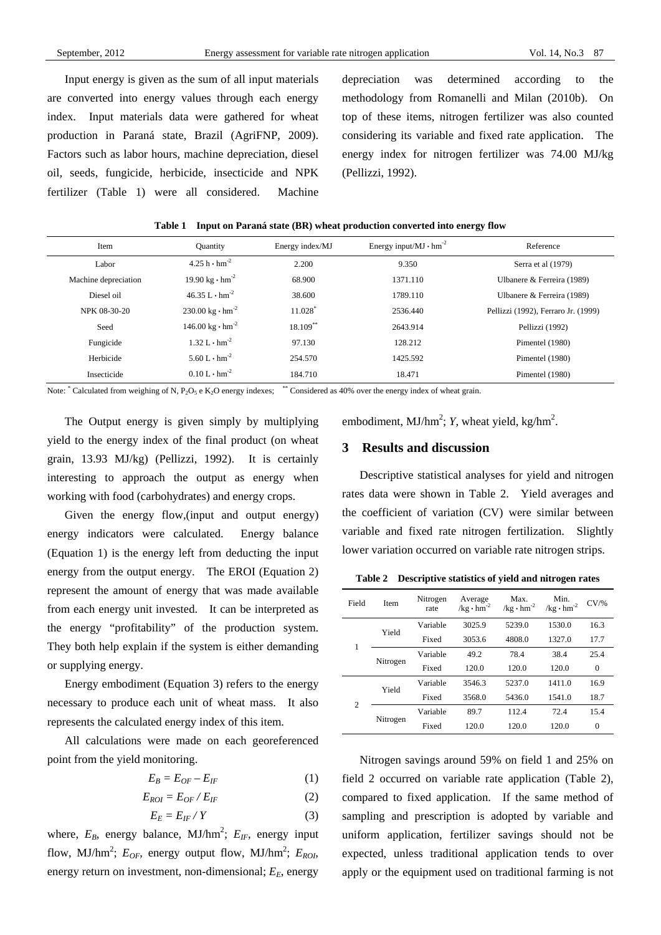Input energy is given as the sum of all input materials are converted into energy values through each energy index. Input materials data were gathered for wheat production in Paraná state, Brazil (AgriFNP, 2009). Factors such as labor hours, machine depreciation, diesel oil, seeds, fungicide, herbicide, insecticide and NPK fertilizer (Table 1) were all considered. Machine depreciation was determined according to the methodology from Romanelli and Milan (2010b). On top of these items, nitrogen fertilizer was also counted considering its variable and fixed rate application. The energy index for nitrogen fertilizer was 74.00 MJ/kg (Pellizzi, 1992).

| Item                 | <b>Quantity</b>                          | Energy index/MJ | Energy input/MJ $\cdot$ hm <sup>-2</sup> | Reference                           |
|----------------------|------------------------------------------|-----------------|------------------------------------------|-------------------------------------|
| Labor                | $4.25 h \cdot h m^{-2}$                  | 2.200           | 9.350                                    | Serra et al (1979)                  |
| Machine depreciation | 19.90 kg $\cdot$ hm <sup>-2</sup>        | 68.900          | 1371.110                                 | Ulbanere & Ferreira (1989)          |
| Diesel oil           | $46.35 L \cdot hm^{-2}$                  | 38.600          | 1789.110                                 | Ulbanere & Ferreira (1989)          |
| NPK 08-30-20         | $230.00 \text{ kg} \cdot \text{hm}^{-2}$ | 11.028          | 2536.440                                 | Pellizzi (1992), Ferraro Jr. (1999) |
| Seed                 | $146.00 \text{ kg} \cdot \text{hm}^{-2}$ | $18.109**$      | 2643.914                                 | Pellizzi (1992)                     |
| Fungicide            | $1.32 L \cdot hm^{-2}$                   | 97.130          | 128.212                                  | Pimentel (1980)                     |
| Herbicide            | 5.60 L $\cdot$ hm <sup>-2</sup>          | 254.570         | 1425.592                                 | Pimentel (1980)                     |
| Insecticide          | $0.10 L \cdot hm^{-2}$                   | 184.710         | 18.471                                   | Pimentel (1980)                     |

**Table 1 Input on Paraná state (BR) wheat production converted into energy flow** 

Note: \* Calculated from weighing of N,  $P_2O_5$  e K<sub>2</sub>O energy indexes; \*\* Considered as 40% over the energy index of wheat grain.

The Output energy is given simply by multiplying yield to the energy index of the final product (on wheat grain, 13.93 MJ/kg) (Pellizzi, 1992). It is certainly interesting to approach the output as energy when working with food (carbohydrates) and energy crops.

Given the energy flow,(input and output energy) energy indicators were calculated. Energy balance (Equation 1) is the energy left from deducting the input energy from the output energy. The EROI (Equation 2) represent the amount of energy that was made available from each energy unit invested. It can be interpreted as the energy "profitability" of the production system. They both help explain if the system is either demanding or supplying energy.

Energy embodiment (Equation 3) refers to the energy necessary to produce each unit of wheat mass. It also represents the calculated energy index of this item.

All calculations were made on each georeferenced point from the yield monitoring.

$$
E_B = E_{OF} - E_{IF} \tag{1}
$$

$$
E_{ROI} = E_{OF} / E_{IF}
$$
 (2)

$$
E_E = E_{IF} / Y \tag{3}
$$

where,  $E_B$ , energy balance, MJ/hm<sup>2</sup>;  $E_{IF}$ , energy input flow, MJ/hm<sup>2</sup>;  $E_{OF}$ , energy output flow, MJ/hm<sup>2</sup>;  $E_{ROI}$ , energy return on investment, non-dimensional;  $E<sub>E</sub>$ , energy

embodiment,  $MJ/hm^2$ ; *Y*, wheat yield, kg/hm<sup>2</sup>.

### **3 Results and discussion**

Descriptive statistical analyses for yield and nitrogen rates data were shown in Table 2. Yield averages and the coefficient of variation (CV) were similar between variable and fixed rate nitrogen fertilization. Slightly lower variation occurred on variable rate nitrogen strips.

**Table 2 Descriptive statistics of yield and nitrogen rates** 

| Field          | Item     | Nitrogen<br>rate | Average<br>$/kg \cdot hm^{-2}$ | Max.<br>/kg $\cdot$ hm <sup>-2</sup> | Min.<br>/kg $\cdot$ $\text{hm}^{\text{-2}}$ | $CV\%$         |
|----------------|----------|------------------|--------------------------------|--------------------------------------|---------------------------------------------|----------------|
| 1              | Yield    | Variable         | 3025.9                         |                                      | 1530.0                                      | 16.3           |
|                |          | Fixed            | 3053.6                         | 4808.0                               | 1327.0                                      | 17.7           |
|                | Nitrogen | Variable         | 49.2                           | 78.4                                 | 38.4                                        | 25.4           |
|                |          | Fixed            | 120.0                          | 120.0                                | 120.0                                       | $\theta$       |
| $\overline{c}$ | Yield    | Variable         | 3546.3                         | 5237.0                               | 1411.0                                      | 16.9           |
|                |          | Fixed            | 3568.0                         | 5436.0                               | 1541.0                                      | 18.7           |
|                |          | Variable         | 89.7                           | 112.4                                | 72.4                                        | 15.4           |
|                | Nitrogen | Fixed            | 120.0                          | 120.0                                | 120.0                                       | $\overline{0}$ |

Nitrogen savings around 59% on field 1 and 25% on field 2 occurred on variable rate application (Table 2), compared to fixed application. If the same method of sampling and prescription is adopted by variable and uniform application, fertilizer savings should not be expected, unless traditional application tends to over apply or the equipment used on traditional farming is not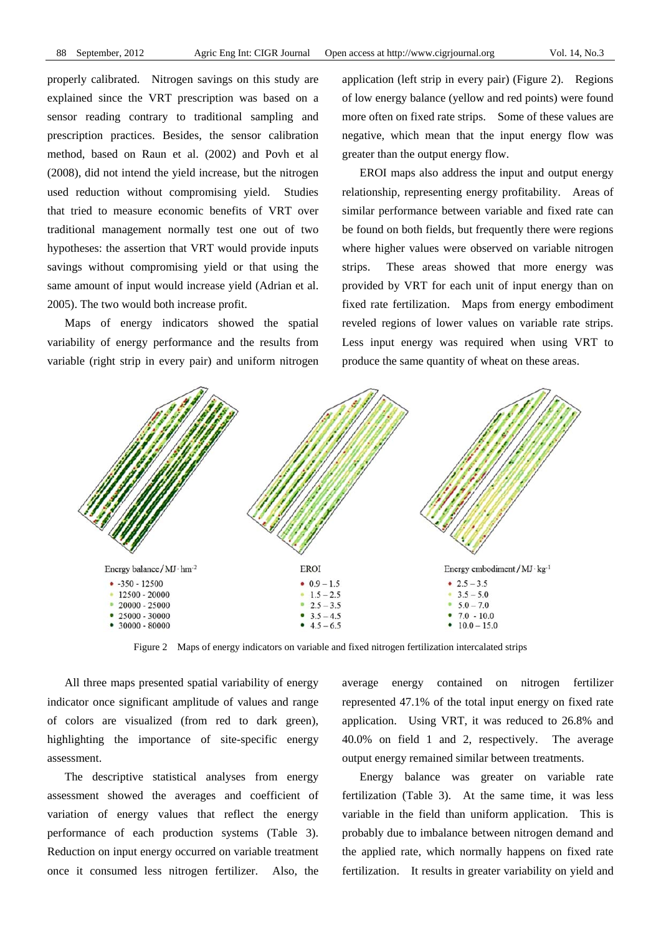properly calibrated. Nitrogen savings on this study are explained since the VRT prescription was based on a sensor reading contrary to traditional sampling and prescription practices. Besides, the sensor calibration method, based on Raun et al. (2002) and Povh et al (2008), did not intend the yield increase, but the nitrogen used reduction without compromising yield. Studies that tried to measure economic benefits of VRT over traditional management normally test one out of two hypotheses: the assertion that VRT would provide inputs savings without compromising yield or that using the same amount of input would increase yield (Adrian et al. 2005). The two would both increase profit.

Maps of energy indicators showed the spatial variability of energy performance and the results from variable (right strip in every pair) and uniform nitrogen application (left strip in every pair) (Figure 2). Regions of low energy balance (yellow and red points) were found more often on fixed rate strips. Some of these values are negative, which mean that the input energy flow was greater than the output energy flow.

EROI maps also address the input and output energy relationship, representing energy profitability. Areas of similar performance between variable and fixed rate can be found on both fields, but frequently there were regions where higher values were observed on variable nitrogen strips. These areas showed that more energy was provided by VRT for each unit of input energy than on fixed rate fertilization. Maps from energy embodiment reveled regions of lower values on variable rate strips. Less input energy was required when using VRT to produce the same quantity of wheat on these areas.



Figure 2 Maps of energy indicators on variable and fixed nitrogen fertilization intercalated strips

All three maps presented spatial variability of energy indicator once significant amplitude of values and range of colors are visualized (from red to dark green), highlighting the importance of site-specific energy assessment.

The descriptive statistical analyses from energy assessment showed the averages and coefficient of variation of energy values that reflect the energy performance of each production systems (Table 3). Reduction on input energy occurred on variable treatment once it consumed less nitrogen fertilizer. Also, the average energy contained on nitrogen fertilizer represented 47.1% of the total input energy on fixed rate application. Using VRT, it was reduced to 26.8% and 40.0% on field 1 and 2, respectively. The average output energy remained similar between treatments.

Energy balance was greater on variable rate fertilization (Table 3). At the same time, it was less variable in the field than uniform application. This is probably due to imbalance between nitrogen demand and the applied rate, which normally happens on fixed rate fertilization. It results in greater variability on yield and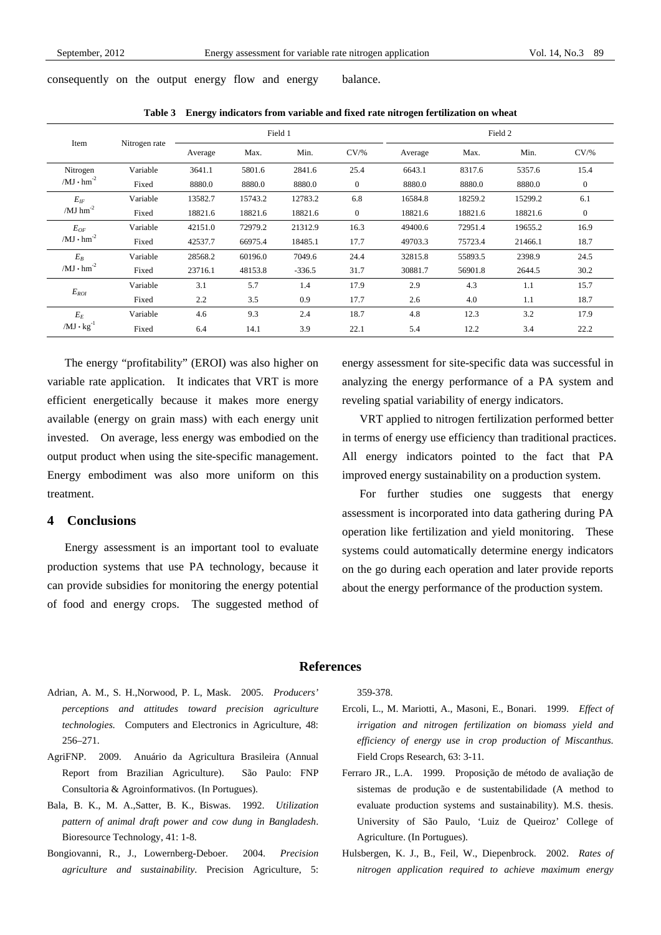consequently on the output energy flow and energy balance.

| Item                                | Nitrogen rate | Field 1 |         |          | Field 2          |         |         |         |                |
|-------------------------------------|---------------|---------|---------|----------|------------------|---------|---------|---------|----------------|
|                                     |               | Average | Max.    | Min.     | $CV\frac{9}{6}$  | Average | Max.    | Min.    | $CV\%$         |
| Nitrogen<br>$/MJ \cdot hm^{-2}$     | Variable      | 3641.1  | 5801.6  | 2841.6   | 25.4             | 6643.1  | 8317.6  | 5357.6  | 15.4           |
|                                     | Fixed         | 8880.0  | 8880.0  | 8880.0   | $\boldsymbol{0}$ | 8880.0  | 8880.0  | 8880.0  | $\mathbf{0}$   |
| $E_{IF}$<br>/ $MJ$ hm <sup>-2</sup> | Variable      | 13582.7 | 15743.2 | 12783.2  | 6.8              | 16584.8 | 18259.2 | 15299.2 | 6.1            |
|                                     | Fixed         | 18821.6 | 18821.6 | 18821.6  | $\mathbf{0}$     | 18821.6 | 18821.6 | 18821.6 | $\overline{0}$ |
| $E_{OF}$<br>$/MJ \cdot hm^{-2}$     | Variable      | 42151.0 | 72979.2 | 21312.9  | 16.3             | 49400.6 | 72951.4 | 19655.2 | 16.9           |
|                                     | Fixed         | 42537.7 | 66975.4 | 18485.1  | 17.7             | 49703.3 | 75723.4 | 21466.1 | 18.7           |
| $E_B$<br>$/MJ \cdot hm^{-2}$        | Variable      | 28568.2 | 60196.0 | 7049.6   | 24.4             | 32815.8 | 55893.5 | 2398.9  | 24.5           |
|                                     | Fixed         | 23716.1 | 48153.8 | $-336.5$ | 31.7             | 30881.7 | 56901.8 | 2644.5  | 30.2           |
| $E_{ROI}$                           | Variable      | 3.1     | 5.7     | 1.4      | 17.9             | 2.9     | 4.3     | 1.1     | 15.7           |
|                                     | Fixed         | 2.2     | 3.5     | 0.9      | 17.7             | 2.6     | 4.0     | 1.1     | 18.7           |
| $E_E$<br>$/MJ \cdot kg^{-1}$        | Variable      | 4.6     | 9.3     | 2.4      | 18.7             | 4.8     | 12.3    | 3.2     | 17.9           |
|                                     | Fixed         | 6.4     | 14.1    | 3.9      | 22.1             | 5.4     | 12.2    | 3.4     | 22.2           |

**Table 3 Energy indicators from variable and fixed rate nitrogen fertilization on wheat** 

The energy "profitability" (EROI) was also higher on variable rate application. It indicates that VRT is more efficient energetically because it makes more energy available (energy on grain mass) with each energy unit invested. On average, less energy was embodied on the output product when using the site-specific management. Energy embodiment was also more uniform on this treatment.

## **4 Conclusions**

Energy assessment is an important tool to evaluate production systems that use PA technology, because it can provide subsidies for monitoring the energy potential of food and energy crops. The suggested method of energy assessment for site-specific data was successful in analyzing the energy performance of a PA system and reveling spatial variability of energy indicators.

VRT applied to nitrogen fertilization performed better in terms of energy use efficiency than traditional practices. All energy indicators pointed to the fact that PA improved energy sustainability on a production system.

For further studies one suggests that energy assessment is incorporated into data gathering during PA operation like fertilization and yield monitoring. These systems could automatically determine energy indicators on the go during each operation and later provide reports about the energy performance of the production system.

#### **References**

- Adrian, A. M., S. H.,Norwood, P. L, Mask. 2005. *Producers' perceptions and attitudes toward precision agriculture technologies.* Computers and Electronics in Agriculture, 48: 256–271.
- AgriFNP. 2009. Anuário da Agricultura Brasileira (Annual Report from Brazilian Agriculture). São Paulo: FNP Consultoria & Agroinformativos. (In Portugues).
- Bala, B. K., M. A.,Satter, B. K., Biswas. 1992. *Utilization pattern of animal draft power and cow dung in Bangladesh*. Bioresource Technology, 41: 1-8.
- Bongiovanni, R., J., Lowernberg-Deboer. 2004. *Precision agriculture and sustainability*. Precision Agriculture, 5:

359-378.

- Ercoli, L., M. Mariotti, A., Masoni, E., Bonari. 1999. *Effect of irrigation and nitrogen fertilization on biomass yield and efficiency of energy use in crop production of Miscanthus*. Field Crops Research, 63: 3-11.
- Ferraro JR., L.A. 1999. Proposição de método de avaliação de sistemas de produção e de sustentabilidade (A method to evaluate production systems and sustainability). M.S. thesis. University of São Paulo, 'Luiz de Queiroz' College of Agriculture. (In Portugues).
- Hulsbergen, K. J., B., Feil, W., Diepenbrock. 2002. *Rates of nitrogen application required to achieve maximum energy*